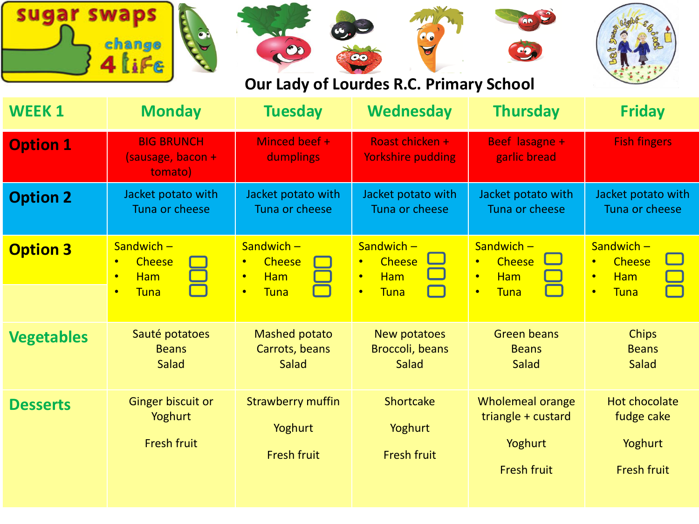| sugar<br>swaps<br>change<br>$\bullet$<br>00<br>4 liFe<br>Our Lady of Lourdes R.C. Primary School |                                                                                            |                                                                                                   |                                                                                            |                                                                                            |                                                                                                   |
|--------------------------------------------------------------------------------------------------|--------------------------------------------------------------------------------------------|---------------------------------------------------------------------------------------------------|--------------------------------------------------------------------------------------------|--------------------------------------------------------------------------------------------|---------------------------------------------------------------------------------------------------|
| <b>WEEK1</b>                                                                                     | <b>Monday</b>                                                                              | <b>Tuesday</b>                                                                                    | <b>Wednesday</b>                                                                           | <b>Thursday</b>                                                                            | <b>Friday</b>                                                                                     |
| <b>Option 1</b>                                                                                  | <b>BIG BRUNCH</b><br>(sausage, bacon +<br>tomato)                                          | Minced beef +<br>dumplings                                                                        | Roast chicken +<br><b>Yorkshire pudding</b>                                                | Beef lasagne +<br>garlic bread                                                             | <b>Fish fingers</b>                                                                               |
| <b>Option 2</b>                                                                                  | Jacket potato with<br>Tuna or cheese                                                       | Jacket potato with<br>Tuna or cheese                                                              | Jacket potato with<br>Tuna or cheese                                                       | Jacket potato with<br>Tuna or cheese                                                       | Jacket potato with<br>Tuna or cheese                                                              |
| <b>Option 3</b>                                                                                  | Sandwich $-$<br><b>Cheese</b><br>$\bullet$<br>Ham<br>$\bullet$<br><b>Tuna</b><br>$\bullet$ | Sandwich $-$<br><b>Cheese</b><br>$\bullet$<br><b>Ham</b><br>$\bullet$<br><b>Tuna</b><br>$\bullet$ | Sandwich $-$<br><b>Cheese</b><br>$\bullet$<br><b>Ham</b><br>$\bullet$<br>Tuna<br>$\bullet$ | Sandwich $-$<br><b>Cheese</b><br>$\bullet$<br>Ham<br>$\bullet$<br><b>Tuna</b><br>$\bullet$ | Sandwich $-$<br><b>Cheese</b><br>$\bullet$<br><b>Ham</b><br>$\bullet$<br><b>Tuna</b><br>$\bullet$ |
| <b>Vegetables</b>                                                                                | Sauté potatoes<br><b>Beans</b><br>Salad                                                    | <b>Mashed potato</b><br>Carrots, beans<br>Salad                                                   | New potatoes<br>Broccoli, beans<br>Salad                                                   | <b>Green beans</b><br><b>Beans</b><br>Salad                                                | <b>Chips</b><br><b>Beans</b><br>Salad                                                             |
| <b>Desserts</b>                                                                                  | Ginger biscuit or<br>Yoghurt<br><b>Fresh fruit</b>                                         | <b>Strawberry muffin</b><br>Yoghurt<br><b>Fresh fruit</b>                                         | Shortcake<br>Yoghurt<br><b>Fresh fruit</b>                                                 | <b>Wholemeal orange</b><br>triangle + custard<br>Yoghurt<br><b>Fresh fruit</b>             | <b>Hot chocolate</b><br>fudge cake<br>Yoghurt<br><b>Fresh fruit</b>                               |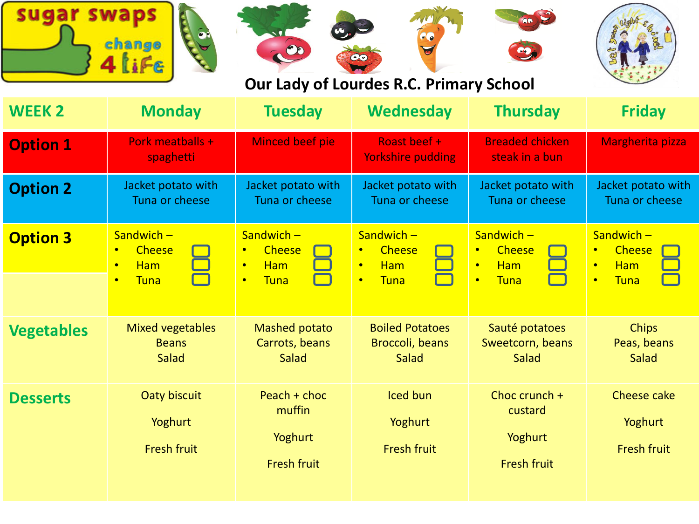|                 | change                                                                                            |                                                                                                   | 00<br>Our Lady of Lourdes R.C. Primary School                                                     | <b>OO AZ</b>                                                                                      |                                                                                                   |
|-----------------|---------------------------------------------------------------------------------------------------|---------------------------------------------------------------------------------------------------|---------------------------------------------------------------------------------------------------|---------------------------------------------------------------------------------------------------|---------------------------------------------------------------------------------------------------|
| <b>WEEK 2</b>   | <b>Monday</b>                                                                                     | <b>Tuesday</b>                                                                                    | <b>Wednesday</b>                                                                                  | <b>Thursday</b>                                                                                   | <b>Friday</b>                                                                                     |
| <b>Option 1</b> | Pork meatballs +<br>spaghetti                                                                     | Minced beef pie                                                                                   | Roast beef +<br><b>Yorkshire pudding</b>                                                          | <b>Breaded chicken</b><br>steak in a bun                                                          | Margherita pizza                                                                                  |
| <b>Option 2</b> | Jacket potato with<br>Tuna or cheese                                                              | Jacket potato with<br>Tuna or cheese                                                              | Jacket potato with<br>Tuna or cheese                                                              | Jacket potato with<br>Tuna or cheese                                                              | Jacket potato with<br>Tuna or cheese                                                              |
| <b>Option 3</b> | Sandwich $-$<br><b>Cheese</b><br>$\bullet$<br><b>Ham</b><br>$\bullet$<br><b>Tuna</b><br>$\bullet$ | $Sandwich -$<br><b>Cheese</b><br>$\bullet$<br><b>Ham</b><br>$\bullet$<br><b>Tuna</b><br>$\bullet$ | Sandwich $-$<br><b>Cheese</b><br>$\bullet$<br><b>Ham</b><br>$\bullet$<br><b>Tuna</b><br>$\bullet$ | Sandwich $-$<br><b>Cheese</b><br>$\bullet$<br><b>Ham</b><br>$\bullet$<br><b>Tuna</b><br>$\bullet$ | Sandwich $-$<br><b>Cheese</b><br>$\bullet$<br><b>Ham</b><br>$\bullet$<br><b>Tuna</b><br>$\bullet$ |

| <b>Vegetables</b> | Mixed vegetables<br><b>Beans</b><br>Salad     | Mashed potato<br>Carrots, beans<br>Salad                | <b>Boiled Potatoes</b><br>Broccoli, beans<br>Salad | Sauté potatoes<br>Sweetcorn, beans<br>Salad                 | <b>Chips</b><br>Peas, beans<br>Salad         |
|-------------------|-----------------------------------------------|---------------------------------------------------------|----------------------------------------------------|-------------------------------------------------------------|----------------------------------------------|
| <b>Desserts</b>   | Oaty biscuit<br>Yoghurt<br><b>Fresh fruit</b> | Peach + choc<br>muffin<br>Yoghurt<br><b>Fresh fruit</b> | Iced bun<br>Yoghurt<br><b>Fresh fruit</b>          | Choc crunch $+$<br>custard<br>Yoghurt<br><b>Fresh fruit</b> | Cheese cake<br>Yoghurt<br><b>Fresh fruit</b> |